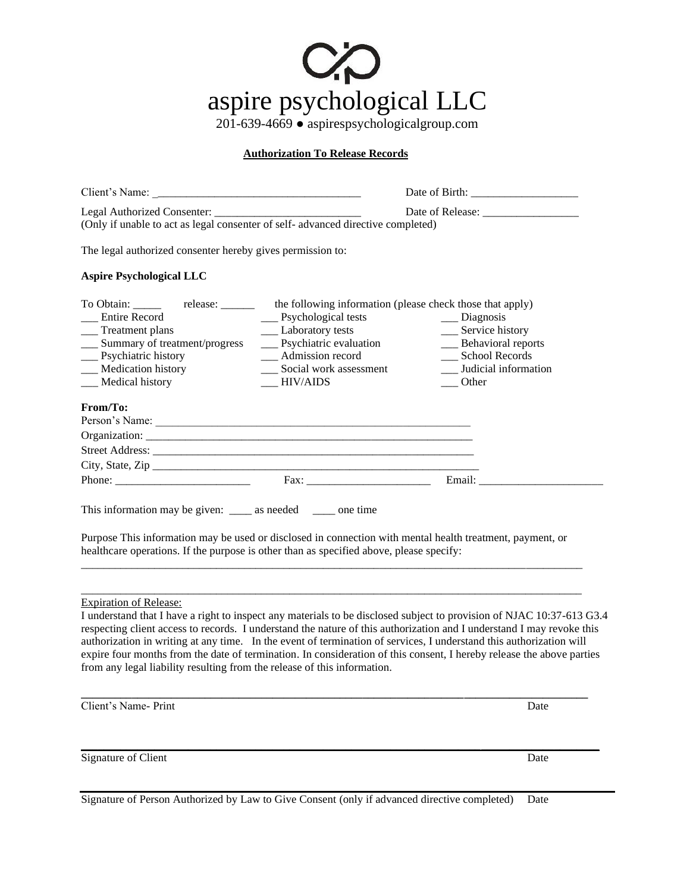

201-639-4669 ● aspirespsychologicalgroup.com

## **Authorization To Release Records**

| (Only if unable to act as legal consenter of self-advanced directive completed)                                                                                                                                                                                         |                                                                                                                                                   |                                                                                                                                                                                                                                                                                                                                                                         |  |
|-------------------------------------------------------------------------------------------------------------------------------------------------------------------------------------------------------------------------------------------------------------------------|---------------------------------------------------------------------------------------------------------------------------------------------------|-------------------------------------------------------------------------------------------------------------------------------------------------------------------------------------------------------------------------------------------------------------------------------------------------------------------------------------------------------------------------|--|
|                                                                                                                                                                                                                                                                         |                                                                                                                                                   |                                                                                                                                                                                                                                                                                                                                                                         |  |
| <b>Aspire Psychological LLC</b>                                                                                                                                                                                                                                         |                                                                                                                                                   |                                                                                                                                                                                                                                                                                                                                                                         |  |
| To Obtain: ________ release: ________ the following information (please check those that apply)<br><b>Entire Record</b><br>__ Treatment plans<br>__ Summary of treatment/progress<br>__ Psychiatric history<br>__ Medication history<br>__ Medical history              | __ Psychological tests<br>__ Laboratory tests<br>__ Psychiatric evaluation<br>__ Admission record<br>__ Social work assessment<br><b>HIV/AIDS</b> | __ Diagnosis<br>__ Service history<br>__ Behavioral reports<br>__ School Records<br>Judicial information<br>Other                                                                                                                                                                                                                                                       |  |
| From/To:                                                                                                                                                                                                                                                                |                                                                                                                                                   |                                                                                                                                                                                                                                                                                                                                                                         |  |
|                                                                                                                                                                                                                                                                         |                                                                                                                                                   |                                                                                                                                                                                                                                                                                                                                                                         |  |
|                                                                                                                                                                                                                                                                         |                                                                                                                                                   |                                                                                                                                                                                                                                                                                                                                                                         |  |
|                                                                                                                                                                                                                                                                         |                                                                                                                                                   |                                                                                                                                                                                                                                                                                                                                                                         |  |
| This information may be given: ______ as needed ______ one time<br>Purpose This information may be used or disclosed in connection with mental health treatment, payment, or<br>healthcare operations. If the purpose is other than as specified above, please specify: |                                                                                                                                                   |                                                                                                                                                                                                                                                                                                                                                                         |  |
| <b>Expiration of Release:</b><br>authorization in writing at any time. In the event of termination of services, I understand this authorization will<br>from any legal liability resulting from the release of this information.                                        |                                                                                                                                                   | I understand that I have a right to inspect any materials to be disclosed subject to provision of NJAC 10:37-613 G3.4<br>respecting client access to records. I understand the nature of this authorization and I understand I may revoke this<br>expire four months from the date of termination. In consideration of this consent, I hereby release the above parties |  |
| Client's Name- Print                                                                                                                                                                                                                                                    |                                                                                                                                                   | Date                                                                                                                                                                                                                                                                                                                                                                    |  |
| Signature of Client                                                                                                                                                                                                                                                     |                                                                                                                                                   | Date                                                                                                                                                                                                                                                                                                                                                                    |  |

Signature of Person Authorized by Law to Give Consent (only if advanced directive completed) Date